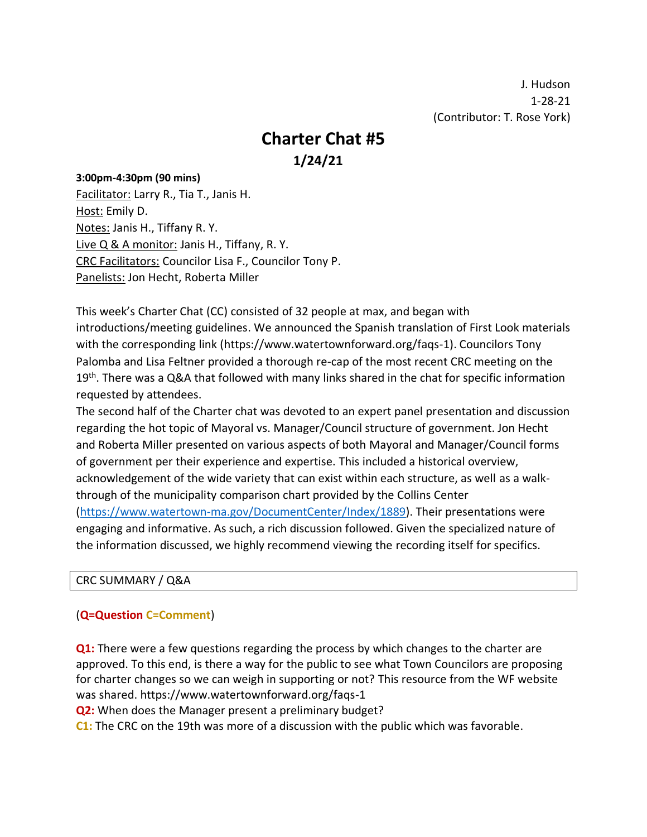J. Hudson 1-28-21 (Contributor: T. Rose York)

# **Charter Chat #5**

 **1/24/21**

### **3:00pm-4:30pm (90 mins)**

Facilitator: Larry R., Tia T., Janis H. Host: Emily D. Notes: Janis H., Tiffany R. Y. Live Q & A monitor: Janis H., Tiffany, R. Y. CRC Facilitators: Councilor Lisa F., Councilor Tony P. Panelists: Jon Hecht, Roberta Miller

This week's Charter Chat (CC) consisted of 32 people at max, and began with introductions/meeting guidelines. We announced the Spanish translation of First Look materials with the corresponding link (https://www.watertownforward.org/faqs-1). Councilors Tony Palomba and Lisa Feltner provided a thorough re-cap of the most recent CRC meeting on the 19<sup>th</sup>. There was a Q&A that followed with many links shared in the chat for specific information requested by attendees.

The second half of the Charter chat was devoted to an expert panel presentation and discussion regarding the hot topic of Mayoral vs. Manager/Council structure of government. Jon Hecht and Roberta Miller presented on various aspects of both Mayoral and Manager/Council forms of government per their experience and expertise. This included a historical overview, acknowledgement of the wide variety that can exist within each structure, as well as a walkthrough of the municipality comparison chart provided by the Collins Center [\(https://www.watertown-ma.gov/DocumentCenter/Index/1889\)](https://www.watertown-ma.gov/DocumentCenter/Index/1889). Their presentations were engaging and informative. As such, a rich discussion followed. Given the specialized nature of the information discussed, we highly recommend viewing the recording itself for specifics.

### CRC SUMMARY / Q&A

## (**Q=Question C=Comment**)

**Q1:** There were a few questions regarding the process by which changes to the charter are approved. To this end, is there a way for the public to see what Town Councilors are proposing for charter changes so we can weigh in supporting or not? This resource from the WF website was shared. https://www.watertownforward.org/faqs-1

**Q2:** When does the Manager present a preliminary budget?

**C1:** The CRC on the 19th was more of a discussion with the public which was favorable.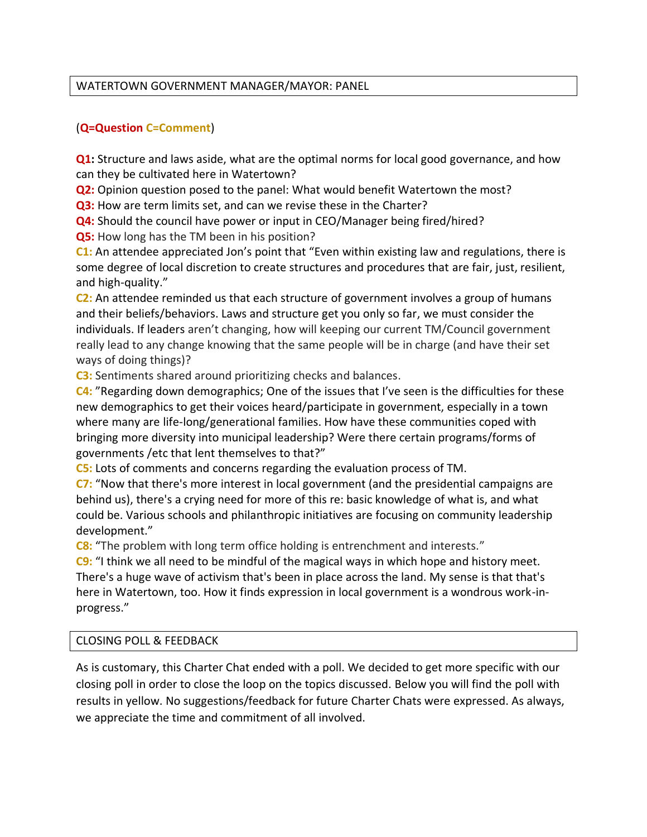## WATERTOWN GOVERNMENT MANAGER/MAYOR: PANEL

## (**Q=Question C=Comment**)

**Q1:** Structure and laws aside, what are the optimal norms for local good governance, and how can they be cultivated here in Watertown?

**Q2:** Opinion question posed to the panel: What would benefit Watertown the most?

**Q3:** How are term limits set, and can we revise these in the Charter?

**Q4:** Should the council have power or input in CEO/Manager being fired/hired?

**Q5:** How long has the TM been in his position?

**C1:** An attendee appreciated Jon's point that "Even within existing law and regulations, there is some degree of local discretion to create structures and procedures that are fair, just, resilient, and high-quality."

**C2:** An attendee reminded us that each structure of government involves a group of humans and their beliefs/behaviors. Laws and structure get you only so far, we must consider the individuals. If leaders aren't changing, how will keeping our current TM/Council government really lead to any change knowing that the same people will be in charge (and have their set ways of doing things)?

**C3:** Sentiments shared around prioritizing checks and balances.

**C4:** "Regarding down demographics; One of the issues that I've seen is the difficulties for these new demographics to get their voices heard/participate in government, especially in a town where many are life-long/generational families. How have these communities coped with bringing more diversity into municipal leadership? Were there certain programs/forms of governments /etc that lent themselves to that?"

**C5:** Lots of comments and concerns regarding the evaluation process of TM.

**C7:** "Now that there's more interest in local government (and the presidential campaigns are behind us), there's a crying need for more of this re: basic knowledge of what is, and what could be. Various schools and philanthropic initiatives are focusing on community leadership development."

**C8:** "The problem with long term office holding is entrenchment and interests."

**C9:** "I think we all need to be mindful of the magical ways in which hope and history meet. There's a huge wave of activism that's been in place across the land. My sense is that that's here in Watertown, too. How it finds expression in local government is a wondrous work-inprogress."

### CLOSING POLL & FEEDBACK

As is customary, this Charter Chat ended with a poll. We decided to get more specific with our closing poll in order to close the loop on the topics discussed. Below you will find the poll with results in yellow. No suggestions/feedback for future Charter Chats were expressed. As always, we appreciate the time and commitment of all involved.